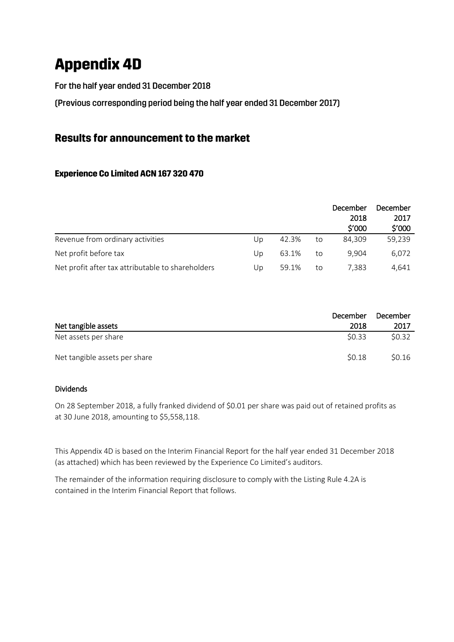# **Appendix 4D**

For the half year ended 31 December 2018

(Previous corresponding period being the half year ended 31 December 2017)

# **Results for announcement to the market**

# **Experience Co Limited ACN 167 320 470**

|                                                   |    |       |    | December<br>2018<br>\$'000 | December<br>2017<br>\$'000 |
|---------------------------------------------------|----|-------|----|----------------------------|----------------------------|
| Revenue from ordinary activities                  | Up | 42.3% | to | 84.309                     | 59,239                     |
| Net profit before tax                             | Up | 63.1% | to | 9.904                      | 6.072                      |
| Net profit after tax attributable to shareholders | Up | 59.1% | to | 7.383                      | 4,641                      |

|                               | December | December          |
|-------------------------------|----------|-------------------|
| Net tangible assets           | 2018     | 2017              |
| Net assets per share          | 50.33    | 50.32             |
| Net tangible assets per share | \$0.18   | S <sub>0.16</sub> |

# Dividends

On 28 September 2018, a fully franked dividend of \$0.01 per share was paid out of retained profits as at 30 June 2018, amounting to \$5,558,118.

This Appendix 4D is based on the Interim Financial Report for the half year ended 31 December 2018 (as attached) which has been reviewed by the Experience Co Limited's auditors.

The remainder of the information requiring disclosure to comply with the Listing Rule 4.2A is contained in the Interim Financial Report that follows.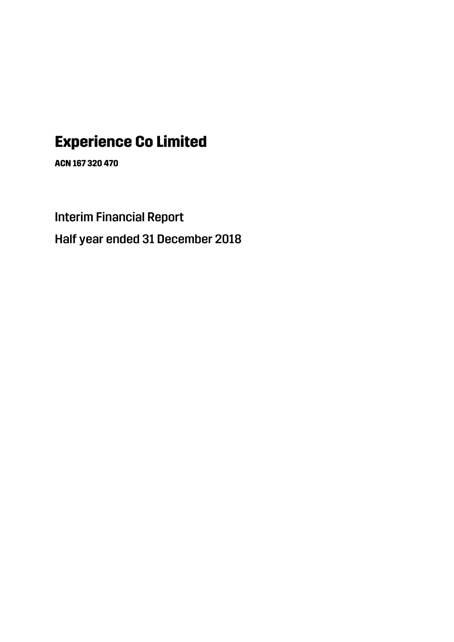# **Experience Co Limited**

ACN 167 320 470

**Interim Financial Report** Half year ended 31 December 2018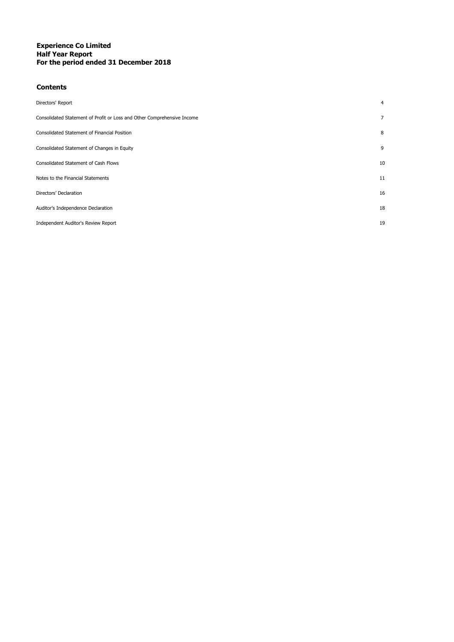# **Experience Co Limited Half Year Report For the period ended 31 December 2018**

# **Contents**

| Directors' Report                                                       | $\overline{4}$ |
|-------------------------------------------------------------------------|----------------|
| Consolidated Statement of Profit or Loss and Other Comprehensive Income | $\overline{7}$ |
| Consolidated Statement of Financial Position                            | 8              |
| Consolidated Statement of Changes in Equity                             | 9              |
| Consolidated Statement of Cash Flows                                    | 10             |
| Notes to the Financial Statements                                       | 11             |
| Directors' Declaration                                                  | 16             |
| Auditor's Independence Declaration                                      | 18             |
| Independent Auditor's Review Report                                     | 19             |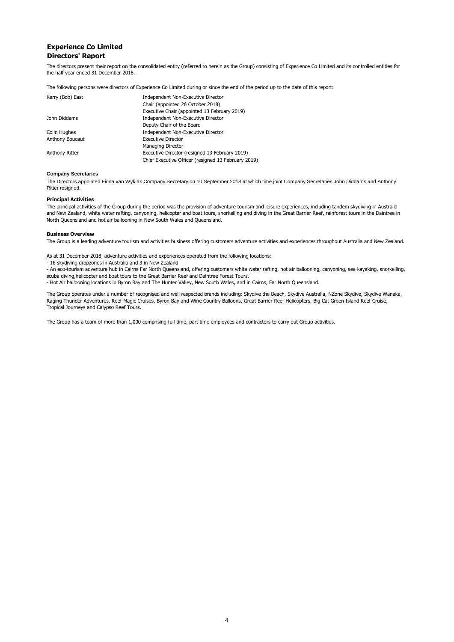# **Experience Co Limited Directors' Report**

The directors present their report on the consolidated entity (referred to herein as the Group) consisting of Experience Co Limited and its controlled entities for the half year ended 31 December 2018.

The following persons were directors of Experience Co Limited during or since the end of the period up to the date of this report:

| Kerry (Bob) East | Independent Non-Executive Director                  |
|------------------|-----------------------------------------------------|
|                  | Chair (appointed 26 October 2018)                   |
|                  | Executive Chair (appointed 13 February 2019)        |
| John Diddams     | Independent Non-Executive Director                  |
|                  | Deputy Chair of the Board                           |
| Colin Hughes     | Independent Non-Executive Director                  |
| Anthony Boucaut  | <b>Executive Director</b>                           |
|                  | <b>Managing Director</b>                            |
| Anthony Ritter   | Executive Director (resigned 13 February 2019)      |
|                  | Chief Executive Officer (resigned 13 February 2019) |

#### **Company Secretaries**

The Directors appointed Fiona van Wyk as Company Secretary on 10 September 2018 at which time joint Company Secretaries John Diddams and Anthony Ritter resigned.

#### **Principal Activities**

The principal activities of the Group during the period was the provision of adventure tourism and leisure experiences, including tandem skydiving in Australia and New Zealand, white water rafting, canyoning, helicopter and boat tours, snorkelling and diving in the Great Barrier Reef, rainforest tours in the Daintree in North Queensland and hot air ballooning in New South Wales and Queensland.

#### **Business Overview**

The Group is a leading adventure tourism and activities business offering customers adventure activities and experiences throughout Australia and New Zealand.

As at 31 December 2018, adventure activities and experiences operated from the following locations:

- 16 skydiving dropzones in Australia and 3 in New Zealand

- An eco-tourism adventure hub in Cairns Far North Queensland, offering customers white water rafting, hot air ballooning, canyoning, sea kayaking, snorkelling, scuba diving,helicopter and boat tours to the Great Barrier Reef and Daintree Forest Tours.

- Hot Air ballooning locations in Byron Bay and The Hunter Valley, New South Wales, and in Cairns, Far North Queensland.

The Group operates under a number of recognised and well respected brands including: Skydive the Beach, Skydive Australia, NZone Skydive, Skydive Wanaka, Raging Thunder Adventures, Reef Magic Cruises, Byron Bay and Wine Country Balloons, Great Barrier Reef Helicopters, Big Cat Green Island Reef Cruise, Tropical Journeys and Calypso Reef Tours.

The Group has a team of more than 1,000 comprising full time, part time employees and contractors to carry out Group activities.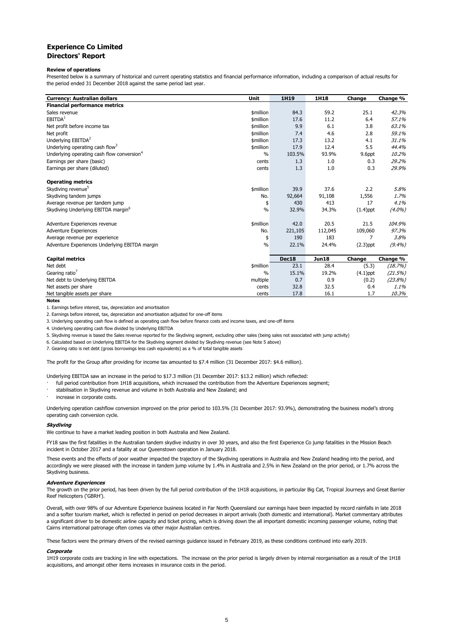# **Experience Co Limited Directors' Report**

#### **Review of operations**

Presented below is a summary of historical and current operating statistics and financial performance information, including a comparison of actual results for the period ended 31 December 2018 against the same period last year.

| <b>Currency: Australian dollars</b>                    | Unit          | 1H19    | 1H18         | Change      | Change %  |
|--------------------------------------------------------|---------------|---------|--------------|-------------|-----------|
| <b>Financial performance metrics</b>                   |               |         |              |             |           |
| Sales revenue                                          | \$million     | 84.3    | 59.2         | 25.1        | 42.3%     |
| EBITDA <sup>1</sup>                                    | \$million     | 17.6    | 11.2         | 6.4         | 57.1%     |
| Net profit before income tax                           | \$million     | 9.9     | 6.1          | 3.8         | 63.1%     |
| Net profit                                             | \$million     | 7.4     | 4.6          | 2.8         | 59.1%     |
| Underlying EBITDA <sup>2</sup>                         | \$million     | 17.3    | 13.2         | 4.1         | 31.1%     |
| Underlying operating cash flow <sup>3</sup>            | \$million     | 17.9    | 12.4         | 5.5         | 44.4%     |
| Underlying operating cash flow conversion <sup>4</sup> | $\%$          | 103.5%  | 93.9%        | 9.6ppt      | 10.2%     |
| Earnings per share (basic)                             | cents         | 1.3     | 1.0          | 0.3         | 29.2%     |
| Earnings per share (diluted)                           | cents         | 1.3     | 1.0          | 0.3         | 29.9%     |
| <b>Operating metrics</b>                               |               |         |              |             |           |
| Skydiving revenue <sup>5</sup>                         | \$million     | 39.9    | 37.6         | 2.2         | 5.8%      |
| Skydiving tandem jumps                                 | No.           | 92,664  | 91,108       | 1,556       | 1.7%      |
| Average revenue per tandem jump                        | \$            | 430     | 413          | 17          | 4.1%      |
| Skydiving Underlying EBITDA margin <sup>6</sup>        | $\%$          | 32.9%   | 34.3%        | $(1.4)$ ppt | $(4.0\%)$ |
| Adventure Experiences revenue                          | \$million     | 42.0    | 20.5         | 21.5        | 104.9%    |
| <b>Adventure Experiences</b>                           | No.           | 221,105 | 112,045      | 109,060     | 97.3%     |
| Average revenue per experience                         | \$            | 190     | 183          | 7           | 3.8%      |
| Adventure Experiences Underlying EBITDA margin         | $\%$          | 22.1%   | 24.4%        | $(2.3)$ ppt | $(9.4\%)$ |
| <b>Capital metrics</b>                                 |               | Dec18   | <b>Jun18</b> | Change      | Change %  |
| Net debt                                               | \$million     | 23.1    | 28.4         | (5.3)       | (18.7%)   |
| Gearing ratio <sup>7</sup>                             | $\frac{0}{0}$ | 15.1%   | 19.2%        | $(4.1)$ ppt | (21.5%)   |
| Net debt to Underlying EBITDA                          | multiple      | 0.7     | 0.9          | (0.2)       | (23.8%)   |
| Net assets per share                                   | cents         | 32.8    | 32.5         | 0.4         | 1.1%      |
| Net tangible assets per share                          | cents         | 17.8    | 16.1         | 1.7         | 10.3%     |

**Notes**

1. Earnings before interest, tax, depreciation and amortisation

2. Earnings before interest, tax, depreciation and amortisation adjusted for one-off items

3. Underlying operating cash flow is defined as operating cash flow before finance costs and income taxes, and one-off items

4. Underlying operating cash flow divided by Underlying EBITDA

5. Skydiving revenue is based the Sales revenue reported for the Skydiving segment, excluding other sales (being sales not associated with jump activity)

6. Calculated based on Underlying EBITDA for the Skydiving segment divided by Skydiving revenue (see Note 5 above)

7. Gearing ratio is net debt (gross borrowings less cash equivalents) as a % of total tangible assets

The profit for the Group after providing for income tax amounted to \$7.4 million (31 December 2017: \$4.6 million).

Underlying EBITDA saw an increase in the period to \$17.3 million (31 December 2017: \$13.2 million) which reflected:

- full period contribution from 1H18 acquisitions, which increased the contribution from the Adventure Experiences segment;
- stabilisation in Skydiving revenue and volume in both Australia and New Zealand; and
- increase in corporate costs.

Underlying operation cashflow conversion improved on the prior period to 103.5% (31 December 2017: 93.9%), demonstrating the business model's strong operating cash conversion cycle.

#### **Skydiving**

We continue to have a market leading position in both Australia and New Zealand.

FY18 saw the first fatalities in the Australian tandem skydive industry in over 30 years, and also the first Experience Co jump fatalities in the Mission Beach incident in October 2017 and a fatality at our Queenstown operation in January 2018.

These events and the effects of poor weather impacted the trajectory of the Skydiving operations in Australia and New Zealand heading into the period, and accordingly we were pleased with the increase in tandem jump volume by 1.4% in Australia and 2.5% in New Zealand on the prior period, or 1.7% across the Skydiving business.

#### **Adventure Experiences**

The growth on the prior period, has been driven by the full period contribution of the 1H18 acquisitions, in particular Big Cat, Tropical Journeys and Great Barrier Reef Helicopters ('GBRH').

Overall, with over 98% of our Adventure Experience business located in Far North Queensland our earnings have been impacted by record rainfalls in late 2018 and a softer tourism market, which is reflected in period on period decreases in airport arrivals (both domestic and international). Market commentary attributes a significant driver to be domestic airline capacity and ticket pricing, which is driving down the all important domestic incoming passenger volume, noting that Cairns international patronage often comes via other major Australian centres.

These factors were the primary drivers of the revised earnings guidance issued in February 2019, as these conditions continued into early 2019.

## **Corporate**

1H19 corporate costs are tracking in line with expectations. The increase on the prior period is largely driven by internal reorganisation as a result of the 1H18 acquisitions, and amongst other items increases in insurance costs in the period.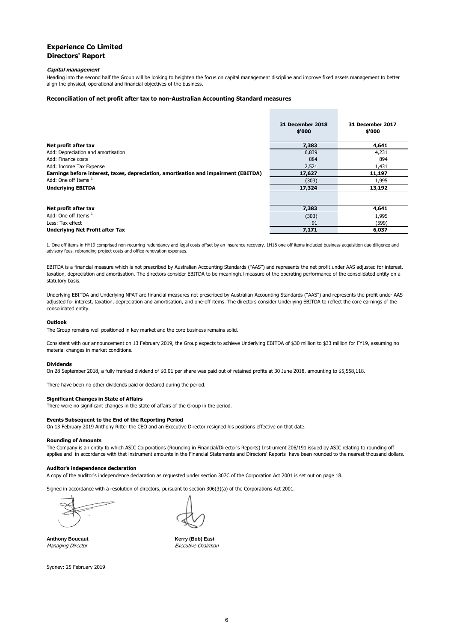# **Experience Co Limited Directors' Report**

#### **Capital management**

Heading into the second half the Group will be looking to heighten the focus on capital management discipline and improve fixed assets management to better align the physical, operational and financial objectives of the business.

#### **Reconciliation of net profit after tax to non-Australian Accounting Standard measures**

|                                                                                     | 31 December 2018<br>\$'000 | 31 December 2017<br>\$'000 |
|-------------------------------------------------------------------------------------|----------------------------|----------------------------|
| Net profit after tax                                                                | 7,383                      | 4,641                      |
| Add: Depreciation and amortisation                                                  | 6,839                      | 4,231                      |
| Add: Finance costs                                                                  | 884                        | 894                        |
| Add: Income Tax Expense                                                             | 2,521                      | 1,431                      |
| Earnings before interest, taxes, depreciation, amortisation and impairment (EBITDA) | 17,627                     | 11,197                     |
| Add: One off Items 1                                                                | (303)                      | 1,995                      |
| <b>Underlying EBITDA</b>                                                            | 17,324                     | 13,192                     |
|                                                                                     |                            |                            |
| Net profit after tax                                                                | 7,383                      | 4,641                      |
| Add: One off Items $1$                                                              | (303)                      | 1,995                      |
| Less: Tax effect                                                                    | 91                         | (599)                      |
| Underlying Net Profit after Tax                                                     | 7,171                      | 6,037                      |

1. One off items in HY19 comprised non-recurring redundancy and legal costs offset by an insurance recovery. 1H18 one-off items included business acquisition due diligence and advisory fees, rebranding project costs and office renovation expenses.

EBITDA is a financial measure which is not prescribed by Australian Accounting Standards ("AAS") and represents the net profit under AAS adjusted for interest, taxation, depreciation and amortisation. The directors consider EBITDA to be meaningful measure of the operating performance of the consolidated entity on a statutory basis.

Underlying EBITDA and Underlying NPAT are financial measures not prescribed by Australian Accounting Standards ("AAS") and represents the profit under AAS adjusted for interest, taxation, depreciation and amortisation, and one-off items. The directors consider Underlying EBITDA to reflect the core earnings of the consolidated entity.

#### **Outlook**

The Group remains well positioned in key market and the core business remains solid.

Consistent with our announcement on 13 February 2019, the Group expects to achieve Underlying EBITDA of \$30 million to \$33 million for FY19, assuming no material changes in market conditions.

#### **Dividends**

On 28 September 2018, a fully franked dividend of \$0.01 per share was paid out of retained profits at 30 June 2018, amounting to \$5,558,118.

There have been no other dividends paid or declared during the period.

#### **Significant Changes in State of Affairs**

There were no significant changes in the state of affairs of the Group in the period.

#### **Events Subsequent to the End of the Reporting Period**

On 13 February 2019 Anthony Ritter the CEO and an Executive Director resigned his positions effective on that date.

#### **Rounding of Amounts**

The Company is an entity to which ASIC Corporations (Rounding in Financial/Director's Reports) Instrument 206/191 issued by ASIC relating to rounding off applies and in accordance with that instrument amounts in the Financial Statements and Directors' Reports have been rounded to the nearest thousand dollars.

#### **Auditor's independence declaration**

A copy of the auditor's independence declaration as requested under section 307C of the Corporation Act 2001 is set out on page 18.

Signed in accordance with a resolution of directors, pursuant to section 306(3)(a) of the Corporations Act 2001.

Managing Director **Executive Chairman** 

**Anthony Boucaut Kerry (Bob) East**

Sydney: 25 February 2019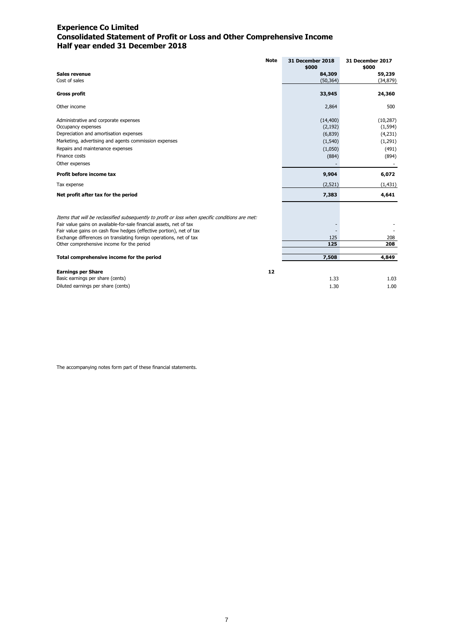# **Experience Co Limited Consolidated Statement of Profit or Loss and Other Comprehensive Income Half year ended 31 December 2018**

| <b>Note</b>                                                                                                                                                                                                                                                                                                                                                        | 31 December 2018<br>\$000                                         | 31 December 2017<br>\$000                                     |
|--------------------------------------------------------------------------------------------------------------------------------------------------------------------------------------------------------------------------------------------------------------------------------------------------------------------------------------------------------------------|-------------------------------------------------------------------|---------------------------------------------------------------|
| Sales revenue                                                                                                                                                                                                                                                                                                                                                      | 84,309                                                            | 59,239                                                        |
| Cost of sales                                                                                                                                                                                                                                                                                                                                                      | (50, 364)                                                         | (34, 879)                                                     |
| <b>Gross profit</b>                                                                                                                                                                                                                                                                                                                                                | 33,945                                                            | 24,360                                                        |
| Other income                                                                                                                                                                                                                                                                                                                                                       | 2,864                                                             | 500                                                           |
| Administrative and corporate expenses<br>Occupancy expenses<br>Depreciation and amortisation expenses<br>Marketing, advertising and agents commission expenses<br>Repairs and maintenance expenses<br>Finance costs<br>Other expenses                                                                                                                              | (14, 400)<br>(2, 192)<br>(6, 839)<br>(1, 540)<br>(1,050)<br>(884) | (10, 287)<br>(1, 594)<br>(4,231)<br>(1,291)<br>(491)<br>(894) |
| Profit before income tax                                                                                                                                                                                                                                                                                                                                           | 9,904                                                             | 6,072                                                         |
| Tax expense                                                                                                                                                                                                                                                                                                                                                        | (2,521)                                                           | (1, 431)                                                      |
| Net profit after tax for the period                                                                                                                                                                                                                                                                                                                                | 7,383                                                             | 4,641                                                         |
| Items that will be reclassified subsequently to profit or loss when specific conditions are met:<br>Fair value gains on available-for-sale financial assets, net of tax<br>Fair value gains on cash flow hedges (effective portion), net of tax<br>Exchange differences on translating foreign operations, net of tax<br>Other comprehensive income for the period | 125<br>125                                                        | 208<br>208                                                    |
| Total comprehensive income for the period                                                                                                                                                                                                                                                                                                                          | 7,508                                                             | 4,849                                                         |
| 12<br><b>Earnings per Share</b><br>Basic earnings per share (cents)<br>Diluted earnings per share (cents)                                                                                                                                                                                                                                                          | 1.33<br>1.30                                                      | 1.03<br>1.00                                                  |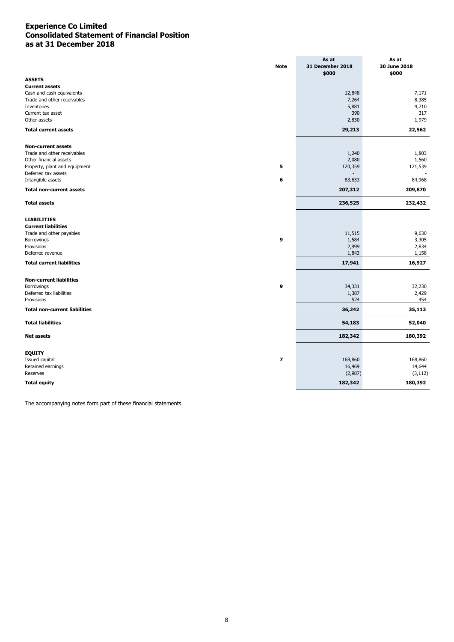# **Experience Co Limited Consolidated Statement of Financial Position as at 31 December 2018**

|                                      | <b>Note</b>             | As at<br>31 December 2018<br>\$000 | As at<br>30 June 2018<br>\$000 |
|--------------------------------------|-------------------------|------------------------------------|--------------------------------|
| <b>ASSETS</b>                        |                         |                                    |                                |
| <b>Current assets</b>                |                         |                                    |                                |
| Cash and cash equivalents            |                         | 12,848                             | 7,171                          |
| Trade and other receivables          |                         | 7,264                              | 8,385                          |
| Inventories                          |                         | 5,881                              | 4,710                          |
| Current tax asset                    |                         | 390                                | 317                            |
| Other assets                         |                         | 2,830                              | 1,979                          |
| <b>Total current assets</b>          |                         | 29,213                             | 22,562                         |
| <b>Non-current assets</b>            |                         |                                    |                                |
| Trade and other receivables          |                         | 1,240                              | 1,803                          |
| Other financial assets               |                         | 2,080                              | 1,560                          |
| Property, plant and equipment        | 5                       | 120,359                            | 121,539                        |
| Deferred tax assets                  |                         |                                    |                                |
| Intangible assets                    | 6                       | 83,633                             | 84,968                         |
| <b>Total non-current assets</b>      |                         | 207,312                            | 209,870                        |
| <b>Total assets</b>                  |                         | 236,525                            | 232,432                        |
| <b>LIABILITIES</b>                   |                         |                                    |                                |
| <b>Current liabilities</b>           |                         |                                    |                                |
| Trade and other payables             |                         | 11,515                             | 9,630                          |
| Borrowings                           | 9                       | 1,584                              | 3,305                          |
| Provisions                           |                         | 2,999                              | 2,834                          |
| Deferred revenue                     |                         | 1,843                              | 1,158                          |
| <b>Total current liabilities</b>     |                         | 17,941                             | 16,927                         |
| <b>Non-current liabilities</b>       |                         |                                    |                                |
| Borrowings                           | 9                       | 34,331                             | 32,230                         |
| Deferred tax liabilities             |                         | 1,387                              | 2,429                          |
| Provisions                           |                         | 524                                | 454                            |
| <b>Total non-current liabilities</b> |                         | 36,242                             | 35,113                         |
| <b>Total liabilities</b>             |                         | 54,183                             | 52,040                         |
| <b>Net assets</b>                    |                         | 182,342                            | 180,392                        |
| <b>EQUITY</b>                        |                         |                                    |                                |
| Issued capital                       | $\overline{\mathbf{z}}$ | 168,860                            | 168,860                        |
| Retained earnings                    |                         | 16,469                             | 14,644                         |
| Reserves                             |                         | (2,987)                            | (3, 112)                       |
| <b>Total equity</b>                  |                         | 182,342                            | 180,392                        |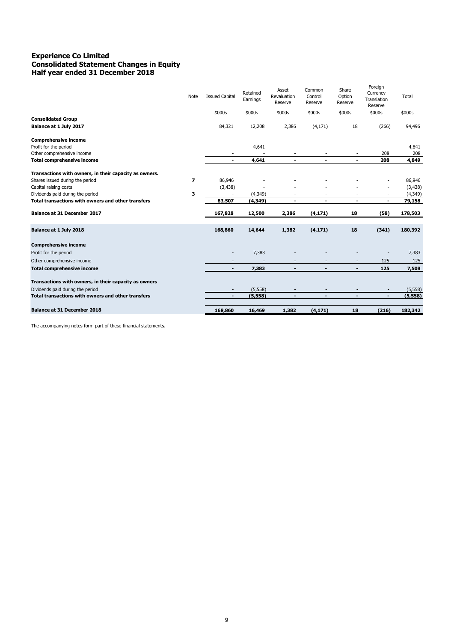# **Experience Co Limited Consolidated Statement Changes in Equity Half year ended 31 December 2018**

|                                                        | <b>Note</b> | <b>Issued Capital</b> | Retained<br>Earnings | Asset<br>Revaluation<br>Reserve | Common<br>Control<br>Reserve | Share<br>Option<br>Reserve | Foreign<br>Currency<br>Translation<br>Reserve | Total    |
|--------------------------------------------------------|-------------|-----------------------|----------------------|---------------------------------|------------------------------|----------------------------|-----------------------------------------------|----------|
|                                                        |             | \$000s                | \$000s               | \$000s                          | \$000s                       | \$000s                     | \$000s                                        | \$000s   |
| <b>Consolidated Group</b>                              |             |                       |                      |                                 |                              |                            |                                               |          |
| Balance at 1 July 2017                                 |             | 84,321                | 12,208               | 2,386                           | (4, 171)                     | 18                         | (266)                                         | 94,496   |
| <b>Comprehensive income</b>                            |             |                       |                      |                                 |                              |                            |                                               |          |
| Profit for the period                                  |             |                       | 4,641                |                                 |                              |                            |                                               | 4,641    |
| Other comprehensive income                             |             |                       |                      |                                 |                              |                            | 208                                           | 208      |
| <b>Total comprehensive income</b>                      |             | $\blacksquare$        | 4,641                | $\blacksquare$                  | $\blacksquare$               | $\blacksquare$             | 208                                           | 4,849    |
| Transactions with owners, in their capacity as owners. |             |                       |                      |                                 |                              |                            |                                               |          |
| Shares issued during the period                        | 7           | 86,946                |                      |                                 |                              |                            |                                               | 86,946   |
| Capital raising costs                                  |             | (3, 438)              |                      |                                 |                              |                            |                                               | (3, 438) |
| Dividends paid during the period                       | 3           | $\blacksquare$        | (4,349)              | $\overline{\phantom{a}}$        | $\overline{\phantom{a}}$     | ٠                          | $\overline{\phantom{a}}$                      | (4, 349) |
| Total transactions with owners and other transfers     |             | 83,507                | (4, 349)             | $\overline{\phantom{a}}$        | $\overline{a}$               | $\overline{a}$             | $\blacksquare$                                | 79,158   |
| <b>Balance at 31 December 2017</b>                     |             | 167,828               | 12,500               | 2,386                           | (4, 171)                     | 18                         | (58)                                          | 178,503  |
| Balance at 1 July 2018                                 |             | 168,860               | 14,644               | 1,382                           | (4, 171)                     | 18                         | (341)                                         | 180,392  |
| <b>Comprehensive income</b>                            |             |                       |                      |                                 |                              |                            |                                               |          |
| Profit for the period                                  |             |                       | 7,383                |                                 |                              |                            |                                               | 7,383    |
| Other comprehensive income                             |             |                       |                      |                                 |                              |                            | 125                                           | 125      |
| <b>Total comprehensive income</b>                      |             | $\blacksquare$        | 7,383                |                                 |                              | $\overline{\phantom{0}}$   | 125                                           | 7,508    |
| Transactions with owners, in their capacity as owners  |             |                       |                      |                                 |                              |                            |                                               |          |
| Dividends paid during the period                       |             | ٠                     | (5, 558)             |                                 |                              |                            | $\overline{\phantom{a}}$                      | (5, 558) |
| Total transactions with owners and other transfers     |             | ÷,                    | (5, 558)             | $\overline{\phantom{a}}$        | $\blacksquare$               | $\overline{a}$             | $\blacksquare$                                | (5, 558) |
| <b>Balance at 31 December 2018</b>                     |             | 168,860               | 16,469               | 1,382                           | (4, 171)                     | 18                         | (216)                                         | 182,342  |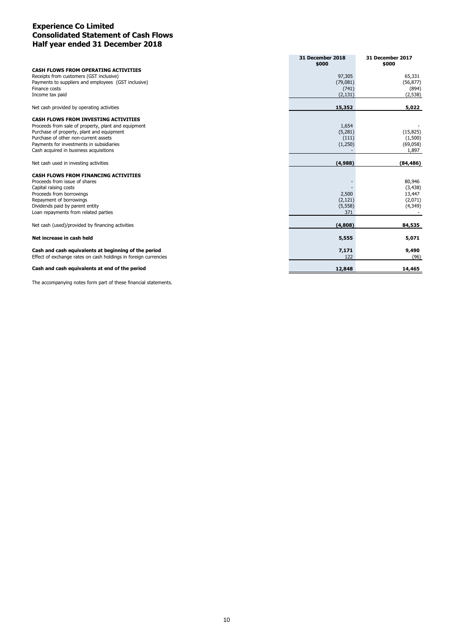# **Experience Co Limited Consolidated Statement of Cash Flows Half year ended 31 December 2018**

|                                                                 | 31 December 2018<br>\$000 | 31 December 2017<br>\$000 |
|-----------------------------------------------------------------|---------------------------|---------------------------|
| <b>CASH FLOWS FROM OPERATING ACTIVITIES</b>                     |                           |                           |
| Receipts from customers (GST inclusive)                         | 97,305                    | 65,331                    |
| Payments to suppliers and employees (GST inclusive)             | (79,081)                  | (56, 877)                 |
| Finance costs                                                   | (741)                     | (894)                     |
| Income tax paid                                                 | (2, 131)                  | (2,538)                   |
| Net cash provided by operating activities                       | 15,352                    | 5,022                     |
| <b>CASH FLOWS FROM INVESTING ACTIVITIES</b>                     |                           |                           |
| Proceeds from sale of property, plant and equipment             | 1,654                     |                           |
| Purchase of property, plant and equipment                       | (5,281)                   | (15, 825)                 |
| Purchase of other non-current assets                            | (111)                     | (1,500)                   |
| Payments for investments in subsidiaries                        | (1,250)                   | (69,058)                  |
| Cash acquired in business acquisitions                          |                           | 1,897                     |
| Net cash used in investing activities                           | (4,988)                   | (84, 486)                 |
| <b>CASH FLOWS FROM FINANCING ACTIVITIES</b>                     |                           |                           |
| Proceeds from issue of shares                                   |                           | 80,946                    |
| Capital raising costs                                           |                           | (3, 438)                  |
| Proceeds from borrowings                                        | 2,500                     | 13,447                    |
| Repayment of borrowings                                         | (2, 121)                  | (2,071)                   |
| Dividends paid by parent entity                                 | (5, 558)                  | (4,349)                   |
| Loan repayments from related parties                            | 371                       |                           |
| Net cash (used)/provided by financing activities                | (4,808)                   | 84,535                    |
| Net increase in cash held                                       | 5,555                     | 5,071                     |
| Cash and cash equivalents at beginning of the period            | 7,171                     | 9,490                     |
| Effect of exchange rates on cash holdings in foreign currencies | 122                       | (96)                      |
| Cash and cash equivalents at end of the period                  | 12,848                    | 14,465                    |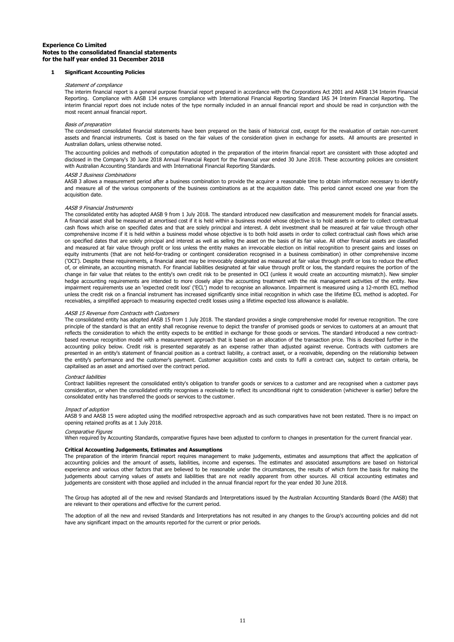#### **1 Significant Accounting Policies**

#### Statement of compliance

The interim financial report is a general purpose financial report prepared in accordance with the Corporations Act 2001 and AASB 134 Interim Financial Reporting. Compliance with AASB 134 ensures compliance with International Financial Reporting Standard IAS 34 Interim Financial Reporting. The interim financial report does not include notes of the type normally included in an annual financial report and should be read in conjunction with the most recent annual financial report.

#### Basis of preparation

The condensed consolidated financial statements have been prepared on the basis of historical cost, except for the revaluation of certain non-current assets and financial instruments. Cost is based on the fair values of the consideration given in exchange for assets. All amounts are presented in Australian dollars, unless otherwise noted.

The accounting policies and methods of computation adopted in the preparation of the interim financial report are consistent with those adopted and disclosed in the Company's 30 June 2018 Annual Financial Report for the financial year ended 30 June 2018. These accounting policies are consistent with Australian Accounting Standards and with International Financial Reporting Standards.

#### AASB 3 Business Combinations

AASB 3 allows a measurement period after a business combination to provide the acquirer a reasonable time to obtain information necessary to identify and measure all of the various components of the business combinations as at the acquisition date. This period cannot exceed one year from the acquisition date.

#### AASB 9 Financial Instruments

The consolidated entity has adopted AASB 9 from 1 July 2018. The standard introduced new classification and measurement models for financial assets. A financial asset shall be measured at amortised cost if it is held within a business model whose objective is to hold assets in order to collect contractual cash flows which arise on specified dates and that are solely principal and interest. A debt investment shall be measured at fair value through other comprehensive income if it is held within a business model whose objective is to both hold assets in order to collect contractual cash flows which arise on specified dates that are solely principal and interest as well as selling the asset on the basis of its fair value. All other financial assets are classified and measured at fair value through profit or loss unless the entity makes an irrevocable election on initial recognition to present gains and losses on equity instruments (that are not held-for-trading or contingent consideration recognised in a business combination) in other comprehensive income ('OCI'). Despite these requirements, a financial asset may be irrevocably designated as measured at fair value through profit or loss to reduce the effect of, or eliminate, an accounting mismatch. For financial liabilities designated at fair value through profit or loss, the standard requires the portion of the change in fair value that relates to the entity's own credit risk to be presented in OCI (unless it would create an accounting mismatch). New simpler hedge accounting requirements are intended to more closely align the accounting treatment with the risk management activities of the entity. New impairment requirements use an 'expected credit loss' ('ECL') model to recognise an allowance. Impairment is measured using a 12-month ECL method unless the credit risk on a financial instrument has increased significantly since initial recognition in which case the lifetime ECL method is adopted. For receivables, a simplified approach to measuring expected credit losses using a lifetime expected loss allowance is available.

#### AASB 15 Revenue from Contracts with Customers

The consolidated entity has adopted AASB 15 from 1 July 2018. The standard provides a single comprehensive model for revenue recognition. The core principle of the standard is that an entity shall recognise revenue to depict the transfer of promised goods or services to customers at an amount that reflects the consideration to which the entity expects to be entitled in exchange for those goods or services. The standard introduced a new contractbased revenue recognition model with a measurement approach that is based on an allocation of the transaction price. This is described further in the accounting policy below. Credit risk is presented separately as an expense rather than adjusted against revenue. Contracts with customers are presented in an entity's statement of financial position as a contract liability, a contract asset, or a receivable, depending on the relationship between the entity's performance and the customer's payment. Customer acquisition costs and costs to fulfil a contract can, subject to certain criteria, be capitalised as an asset and amortised over the contract period.

#### Contract liabilities

Contract liabilities represent the consolidated entity's obligation to transfer goods or services to a customer and are recognised when a customer pays consideration, or when the consolidated entity recognises a receivable to reflect its unconditional right to consideration (whichever is earlier) before the consolidated entity has transferred the goods or services to the customer.

#### Impact of adoption

AASB 9 and AASB 15 were adopted using the modified retrospective approach and as such comparatives have not been restated. There is no impact on opening retained profits as at 1 July 2018.

#### Comparative Figures

When required by Accounting Standards, comparative figures have been adjusted to conform to changes in presentation for the current financial year.

#### **Critical Accounting Judgements, Estimates and Assumptions**

The preparation of the interim financial report requires management to make judgements, estimates and assumptions that affect the application of accounting policies and the amount of assets, liabilities, income and expenses. The estimates and associated assumptions are based on historical experience and various other factors that are believed to be reasonable under the circumstances, the results of which form the basis for making the judgements about carrying values of assets and liabilities that are not readily apparent from other sources. All critical accounting estimates and judgements are consistent with those applied and included in the annual financial report for the year ended 30 June 2018.

The Group has adopted all of the new and revised Standards and Interpretations issued by the Australian Accounting Standards Board (the AASB) that are relevant to their operations and effective for the current period.

The adoption of all the new and revised Standards and Interpretations has not resulted in any changes to the Group's accounting policies and did not have any significant impact on the amounts reported for the current or prior periods.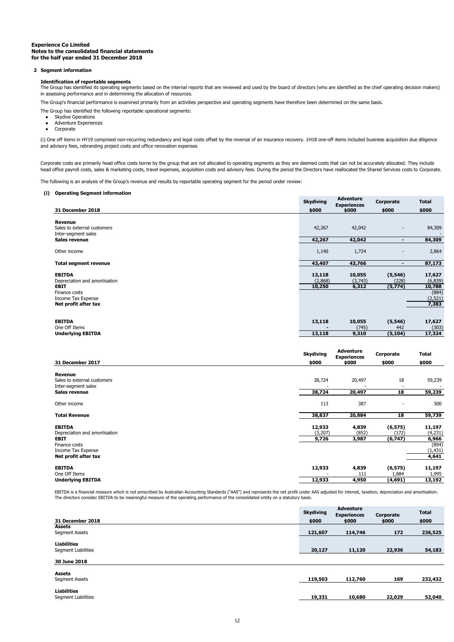**2 Segment information**

### **Identification of reportable segments**

The Group has identified its operating segments based on the internal reports that are reviewed and used by the board of directors (who are identified as the chief operating decision makers) in assessing performance and in determining the allocation of resources.

The Group's financial performance is examined primarily from an activities perspective and operating segments have therefore been determined on the same basis.

The Group has identified the following reportable operational segments:

- Skydive Operations
- Corporate Adventure Experiences
- 

(i) One off items in HY19 comprised non-recurring redundancy and legal costs offset by the reversal of an insurance recovery. 1H18 one-off items included business acquisition due diligence and advisory fees, rebranding project costs and office renovation expenses

Corporate costs are primarily head office costs borne by the group that are not allocated to operating segments as they are deemed costs that can not be accurately allocated. They include head office payroll costs, sales & marketing costs, travel expenses, acquisition costs and advisory fees. During the period the Directors have reallocated the Shared Services costs to Corporate.

The following is an analysis of the Group's revenue and results by reportable operating segment for the period under review:

#### **(i) Operating Segment information**

|                                                                                                                              | <b>Skydiving</b>            | <b>Adventure</b><br><b>Experiences</b> | Corporate                    | <b>Total</b>                                             |
|------------------------------------------------------------------------------------------------------------------------------|-----------------------------|----------------------------------------|------------------------------|----------------------------------------------------------|
| 31 December 2018                                                                                                             | \$000                       | \$000                                  | \$000                        | \$000                                                    |
| Revenue<br>Sales to external customers<br>Inter-segment sales                                                                | 42,267                      | 42,042                                 | $\overline{\phantom{a}}$     | 84,309                                                   |
| Sales revenue                                                                                                                | 42,267                      | 42,042                                 |                              | 84,309                                                   |
| Other income                                                                                                                 | 1,140                       | 1,724                                  | $\overline{\phantom{a}}$     | 2,864                                                    |
| <b>Total segment revenue</b>                                                                                                 | 43,407                      | 43,766                                 |                              | 87,173                                                   |
| <b>EBITDA</b><br>Depreciation and amortisation<br><b>EBIT</b><br>Finance costs<br>Income Tax Expense<br>Net profit after tax | 13,118<br>(2,868)<br>10,250 | 10,055<br>(3,743)<br>6,312             | (5, 546)<br>(228)<br>(5,774) | 17,627<br>(6,839)<br>10,788<br>(884)<br>(2,521)<br>7,383 |
| <b>EBITDA</b><br>One Off Items<br><b>Underlying EBITDA</b>                                                                   | 13,118<br>13,118            | 10,055<br>(745)<br>9,310               | (5, 546)<br>442<br>(5, 104)  | 17,627<br>(303)<br>17,324                                |

|                               | <b>Skydiving</b> | Adventure<br><b>Experiences</b> | Corporate | <b>Total</b> |
|-------------------------------|------------------|---------------------------------|-----------|--------------|
| 31 December 2017              | \$000            | \$000                           | \$000     | \$000        |
| Revenue                       |                  |                                 |           |              |
| Sales to external customers   | 38,724           | 20,497                          | 18        | 59,239       |
| Inter-segment sales           |                  |                                 | ٠         |              |
| Sales revenue                 | 38,724           | 20,497                          | 18        | 59,239       |
| Other income                  | 113              | 387                             |           | 500          |
| <b>Total Revenue</b>          | 38,837           | 20,884                          | 18        | 59,739       |
|                               |                  |                                 |           |              |
| <b>EBITDA</b>                 | 12,933           | 4,839                           | (6, 575)  | 11,197       |
| Depreciation and amortisation | (3,207)          | (852)                           | (172)     | (4,231)      |
| <b>EBIT</b>                   | 9,726            | 3,987                           | (6,747)   | 6,966        |
| Finance costs                 |                  |                                 |           | (894)        |
| Income Tax Expense            |                  |                                 |           | (1, 431)     |
| Net profit after tax          |                  |                                 |           | 4,641        |
| <b>EBITDA</b>                 | 12,933           | 4,839                           | (6, 575)  | 11,197       |
| One Off Items                 |                  | 111                             | 1,884     | 1,995        |
| <b>Underlying EBITDA</b>      | 12,933           | 4,950                           | (4, 691)  | 13,192       |

EBITDA is a financial measure which is not prescribed by Australian Accounting Standards ("AAS") and represents the net profit under AAS adjusted for interest, taxation, depreciation and amortisation.<br>The directors conside

| 31 December 2018                                 | <b>Skydiving</b><br>\$000 | <b>Adventure</b><br><b>Experiences</b><br>\$000 | Corporate<br>\$000 | <b>Total</b><br>\$000 |
|--------------------------------------------------|---------------------------|-------------------------------------------------|--------------------|-----------------------|
| <b>Assets</b>                                    |                           |                                                 |                    |                       |
| <b>Segment Assets</b>                            | 121,607                   | 114,746                                         | 172                | 236,525               |
| <b>Liabilities</b><br><b>Segment Liabilities</b> | 20,127                    | 11,120                                          | 22,936             | 54,183                |
| 30 June 2018                                     |                           |                                                 |                    |                       |
| <b>Assets</b><br>Segment Assets                  | 119,503                   | 112,760                                         | 169                | 232,432               |
| <b>Liabilities</b><br><b>Segment Liabilities</b> | 19,331                    | 10,680                                          | 22,029             | 52,040                |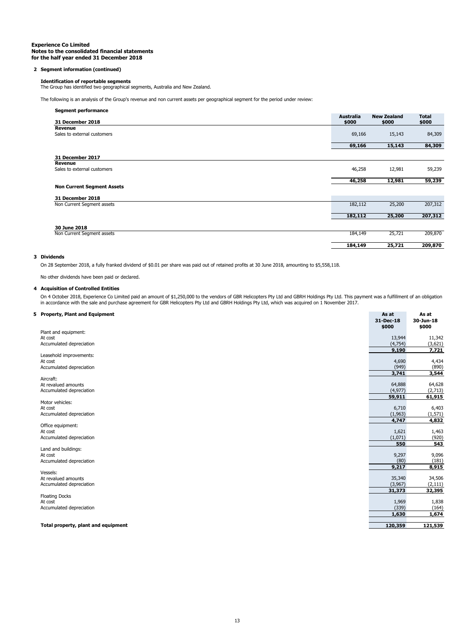**2 Segment information (continued)**

### **Identification of reportable segments**

The Group has identified two geographical segments, Australia and New Zealand.

The following is an analysis of the Group's revenue and non current assets per geographical segment for the period under review:

| Segment performance               |                    |                             |                       |
|-----------------------------------|--------------------|-----------------------------|-----------------------|
| 31 December 2018                  | Australia<br>\$000 | <b>New Zealand</b><br>\$000 | <b>Total</b><br>\$000 |
| Revenue                           |                    |                             |                       |
| Sales to external customers       | 69,166             | 15,143                      | 84,309                |
|                                   | 69,166             | 15,143                      | 84,309                |
| 31 December 2017                  |                    |                             |                       |
| Revenue                           |                    |                             |                       |
| Sales to external customers       | 46,258             | 12,981                      | 59,239                |
|                                   | 46,258             | 12,981                      | 59,239                |
| <b>Non Current Segment Assets</b> |                    |                             |                       |
| 31 December 2018                  |                    |                             |                       |
| Non Current Segment assets        | 182,112            | 25,200                      | 207,312               |
|                                   | 182,112            | 25,200                      | 207,312               |
| 30 June 2018                      |                    |                             |                       |
| Non Current Segment assets        | 184,149            | 25,721                      | 209,870               |
|                                   | 184,149            | 25,721                      | 209,870               |
|                                   |                    |                             |                       |

## **3 Dividends**

On 28 September 2018, a fully franked dividend of \$0.01 per share was paid out of retained profits at 30 June 2018, amounting to \$5,558,118.

No other dividends have been paid or declared.

#### **4 Acquisition of Controlled Entities**

On 4 October 2018, Experience Co Limited paid an amount of \$1,250,000 to the vendors of GBR Helicopters Pty Ltd and GBRH Holdings Pty Ltd. This payment was a fulfillment of an obligation in accordance with the sale and purchase agreement for GBR Helicopters Pty Ltd and GBRH Holdings Pty Ltd, which was acquired on 1 November 2017.

|  | 5 Property, Plant and Equipment |
|--|---------------------------------|
|  |                                 |

| 5 Property, Plant and Equipment     | As at<br>31-Dec-18<br>\$000 | As at<br>30-Jun-18<br>\$000 |
|-------------------------------------|-----------------------------|-----------------------------|
| Plant and equipment:                |                             |                             |
| At cost<br>Accumulated depreciation | 13,944<br>(4,754)           | 11,342<br>(3,621)           |
|                                     | 9,190                       | 7,721                       |
| Leasehold improvements:             |                             |                             |
| At cost                             | 4,690                       | 4,434                       |
| Accumulated depreciation            | (949)                       | (890)                       |
| Aircraft:                           | 3,741                       | 3,544                       |
| At revalued amounts                 | 64,888                      | 64,628                      |
| Accumulated depreciation            | (4,977)                     | (2,713)                     |
|                                     | 59,911                      | 61,915                      |
| Motor vehicles:                     |                             |                             |
| At cost<br>Accumulated depreciation | 6,710<br>(1,963)            | 6,403                       |
|                                     | 4,747                       | (1, 571)<br>4,832           |
| Office equipment:                   |                             |                             |
| At cost                             | 1,621                       | 1,463                       |
| Accumulated depreciation            | (1,071)                     | (920)                       |
|                                     | 550                         | 543                         |
| Land and buildings:<br>At cost      | 9,297                       | 9,096                       |
| Accumulated depreciation            | (80)                        | (181)                       |
|                                     | 9,217                       | 8,915                       |
| Vessels:                            |                             |                             |
| At revalued amounts                 | 35,340                      | 34,506                      |
| Accumulated depreciation            | (3,967)<br>31,373           | (2, 111)<br>32,395          |
| <b>Floating Docks</b>               |                             |                             |
| At cost                             | 1,969                       | 1,838                       |
| Accumulated depreciation            | (339)                       | (164)                       |
|                                     | 1,630                       | 1,674                       |
| Total property, plant and equipment | 120,359                     | 121,539                     |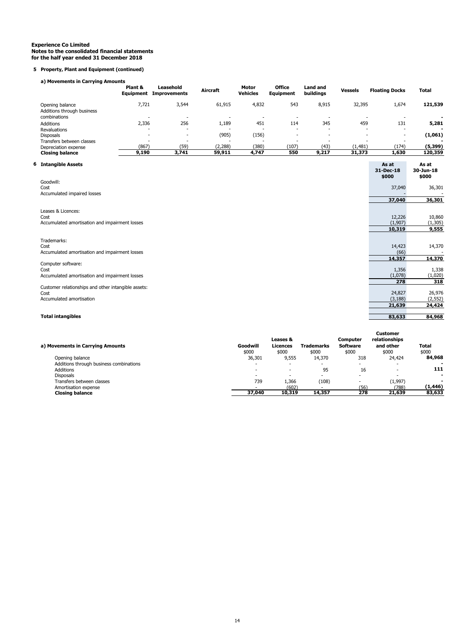# **5 Property, Plant and Equipment (continued)**

| a) Movements in Carrying Amounts                                             | Plant &        | Leasehold<br><b>Equipment Improvements</b> | Aircraft           | Motor<br><b>Vehicles</b>          | <b>Office</b><br><b>Equipment</b> | <b>Land and</b><br><b>buildings</b> | <b>Vessels</b>     | <b>Floating Docks</b>             | <b>Total</b>                |
|------------------------------------------------------------------------------|----------------|--------------------------------------------|--------------------|-----------------------------------|-----------------------------------|-------------------------------------|--------------------|-----------------------------------|-----------------------------|
| Opening balance<br>Additions through business<br>combinations                | 7,721          | 3,544<br>$\blacksquare$                    | 61,915<br>$\sim$   | 4,832<br>$\overline{\phantom{a}}$ | 543<br>$\overline{\phantom{a}}$   | 8,915<br>$\overline{\phantom{a}}$   | 32,395<br>$\sim$   | 1,674<br>$\overline{\phantom{a}}$ | 121,539                     |
| Additions                                                                    | 2,336          | 256                                        | 1,189              | 451                               | 114                               | 345                                 | 459                | 131                               | 5,281                       |
| Revaluations<br><b>Disposals</b>                                             | $\sim$         | $\sim$                                     | (905)              | $\overline{\phantom{a}}$<br>(156) | $\sim$                            | $\blacksquare$<br>$\overline{a}$    | $\blacksquare$     | $\sim$<br>$\ddot{\phantom{1}}$    | (1,061)                     |
| Transfers between classes<br>Depreciation expense<br><b>Closing balance</b>  | (867)<br>9,190 | (59)<br>3,741                              | (2, 288)<br>59,911 | (380)<br>4,747                    | (107)<br>550                      | (43)<br>9,217                       | (1, 481)<br>31,373 | (174)<br>1,630                    | (5, 399)<br>120,359         |
| 6 Intangible Assets                                                          |                |                                            |                    |                                   |                                   |                                     |                    | As at<br>31-Dec-18<br>\$000       | As at<br>30-Jun-18<br>\$000 |
| Goodwill:<br>Cost<br>Accumulated impaired losses                             |                |                                            |                    |                                   |                                   |                                     |                    | 37,040                            | 36,301                      |
|                                                                              |                |                                            |                    |                                   |                                   |                                     |                    | 37,040                            | 36,301                      |
| Leases & Licences:<br>Cost<br>Accumulated amortisation and impairment losses |                |                                            |                    |                                   |                                   |                                     |                    | 12,226<br>(1,907)<br>10,319       | 10,860<br>(1, 305)<br>9,555 |
| Trademarks:<br>Cost<br>Accumulated amortisation and impairment losses        |                |                                            |                    |                                   |                                   |                                     |                    | 14,423<br>(66)                    | 14,370                      |
| Computer software:                                                           |                |                                            |                    |                                   |                                   |                                     |                    | 14,357                            | 14,370                      |
| Cost<br>Accumulated amortisation and impairment losses                       |                |                                            |                    |                                   |                                   |                                     |                    | 1,356<br>(1,078)                  | 1,338<br>(1,020)            |
| Customer relationships and other intangible assets:                          |                |                                            |                    |                                   |                                   |                                     |                    | 278                               | 318                         |
| Cost<br>Accumulated amortisation                                             |                |                                            |                    |                                   |                                   |                                     |                    | 24,827<br>(3, 188)                | 26,976<br>(2, 552)          |
|                                                                              |                |                                            |                    |                                   |                                   |                                     |                    | 21,639                            | 24,424                      |
| <b>Total intangibles</b>                                                     |                |                                            |                    |                                   |                                   |                                     |                    | 83,633                            | 84,968                      |
|                                                                              |                |                                            |                    |                                   |                                   |                                     |                    | <b>Customer</b>                   |                             |

| a) Movements in Carrving Amounts        | Goodwill<br>\$000        | Leases &<br><b>Licences</b><br>\$000 | <b>Trademarks</b><br>\$000 | Computer<br><b>Software</b><br>\$000 | relationships<br>and other<br>\$000 | <b>Total</b><br>\$000 |
|-----------------------------------------|--------------------------|--------------------------------------|----------------------------|--------------------------------------|-------------------------------------|-----------------------|
| Opening balance                         | 36,301                   | 9,555                                | 14,370                     | 318                                  | 24,424                              | 84,968                |
| Additions through business combinations | $\overline{\phantom{0}}$ | $\overline{\phantom{a}}$             | $\overline{\phantom{0}}$   |                                      | $\overline{\phantom{a}}$            |                       |
| <b>Additions</b>                        | $\overline{\phantom{0}}$ | $\overline{\phantom{a}}$             | 95                         | 16                                   | $\overline{\phantom{0}}$            | 111                   |
| <b>Disposals</b>                        | $\overline{\phantom{0}}$ | $\overline{\phantom{a}}$             | $\sim$                     |                                      | $\overline{\phantom{0}}$            |                       |
| Transfers between classes               | 739                      | 1,366                                | (108)                      |                                      | (1,997)                             |                       |
| Amortisation expense                    |                          | (602)                                |                            | (56)                                 | (788)                               | (1, 446)              |
| <b>Closing balance</b>                  | 37,040                   | 10,319                               | 14,357                     | 278                                  | 21,639                              | 83,633                |
|                                         |                          |                                      |                            |                                      |                                     |                       |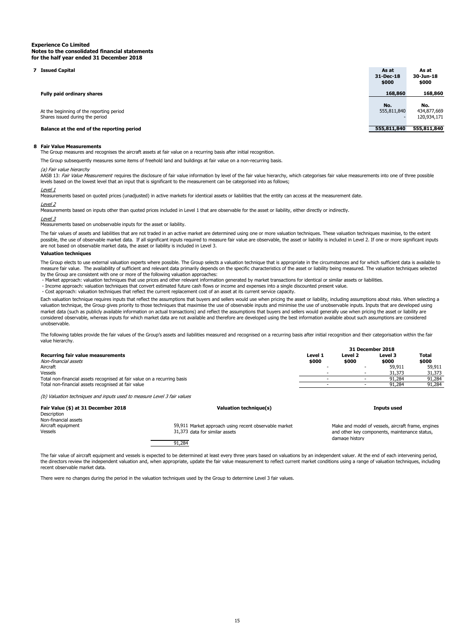| <b>Issued Capital</b>                                                       | As at<br>31-Dec-18<br>\$000 | As at<br>30-Jun-18<br>\$000       |
|-----------------------------------------------------------------------------|-----------------------------|-----------------------------------|
| Fully paid ordinary shares                                                  | 168.860                     | 168,860                           |
| At the beginning of the reporting period<br>Shares issued during the period | No.<br>555,811,840          | No.<br>434,877,669<br>120,934,171 |
| Balance at the end of the reporting period                                  | 555,811,840                 | 555,811,840                       |

#### **8 Fair Value Measurements**

The Group measures and recognises the aircraft assets at fair value on a recurring basis after initial recognition.

The Group subsequently measures some items of freehold land and buildings at fair value on a non-recurring basis.

#### (a) Fair value hierarchy

AASB 13: Fair Value Measurement requires the disclosure of fair value information by level of the fair value hierarchy, which categorises fair value measurements into one of three possible levels based on the lowest level that an input that is significant to the measurement can be categorised into as follows;

#### Level 1

Measurements based on quoted prices (unadjusted) in active markets for identical assets or liabilities that the entity can access at the measurement date.

#### Level 2

Measurements based on inputs other than quoted prices included in Level 1 that are observable for the asset or liability, either directly or indirectly.

#### Level 3

Measurements based on unobservable inputs for the asset or liability.

The fair values of assets and liabilities that are not traded in an active market are determined using one or more valuation techniques. These valuation techniques maximise, to the extent possible, the use of observable market data. If all significant inputs required to measure fair value are observable, the asset or liability is included in Level 2. If one or more significant inputs are not based on observable market data, the asset or liability is included in Level 3.

#### **Valuation techniques**

The Group elects to use external valuation experts where possible. The Group selects a valuation technique that is appropriate in the circumstances and for which sufficient data is available to measure fair value. The availability of sufficient and relevant data primarily depends on the specific characteristics of the asset or liability being measured. The valuation techniques selected by the Group are consistent with one or more of the following valuation approaches:

- Market approach: valuation techniques that use prices and other relevant information generated by market transactions for identical or similar assets or liabilities.

- Income approach: valuation techniques that convert estimated future cash flows or income and expenses into a single discounted present value.<br>- Cost approach: valuation techniques that reflect the current replacement cos

Each valuation technique requires inputs that reflect the assumptions that buyers and sellers would use when pricing the asset or liability, including assumptions about risks. When selecting a valuation technique, the Group gives priority to those techniques that maximise the use of observable inputs the use of unobservable inputs. Inputs that are developed using market data (such as publicly available information on actual transactions) and reflect the assumptions that buyers and sellers would generally use when pricing the asset or liability are considered observable, whereas inputs for which market data are not available and therefore are developed using the best information available about such assumptions are considered unobservable.

The following tables provide the fair values of the Group's assets and liabilities measured and recognised on a recurring basis after initial recognition and their categorisation within the fair value hierarchy.

| Recurring fair value measurements                                        | Level 1 | Level 2                  | Level 3 | <b>Total</b> |
|--------------------------------------------------------------------------|---------|--------------------------|---------|--------------|
| Non-financial assets                                                     | \$000   | \$000                    | \$000   | \$000        |
| Aircraft                                                                 |         | $\overline{\phantom{0}}$ | 59,911  | 59,911       |
| Vessels                                                                  |         |                          | 31,373  | 31,373       |
| Total non-financial assets recognised at fair value on a recurring basis |         |                          | 91,284  | 91,284       |
| Total non-financial assets recognised at fair value                      |         |                          | 91,284  | 91,284       |
|                                                                          |         |                          |         |              |

(b) Valuation techniques and inputs used to measure Level 3 fair values

| Fair Value (\$) at 31 December 2018<br>Description | Valuation technique(s)                                | Inputs used                                                     |
|----------------------------------------------------|-------------------------------------------------------|-----------------------------------------------------------------|
| Non-financial assets                               |                                                       |                                                                 |
| Aircraft equipment                                 | 59,911 Market approach using recent observable market | Make and model of vessels, aircraft frame, engines              |
| Vessels                                            | 31,373 data for similar assets                        | and other key components, maintenance status,<br>damage history |
|                                                    | 91,284                                                |                                                                 |

The fair value of aircraft equipment and vessels is expected to be determined at least every three years based on valuations by an independent valuer. At the end of each intervening period, the directors review the independent valuation and, when appropriate, update the fair value measurement to reflect current market conditions using a range of valuation techniques, including recent observable market data.

There were no changes during the period in the valuation techniques used by the Group to determine Level 3 fair values.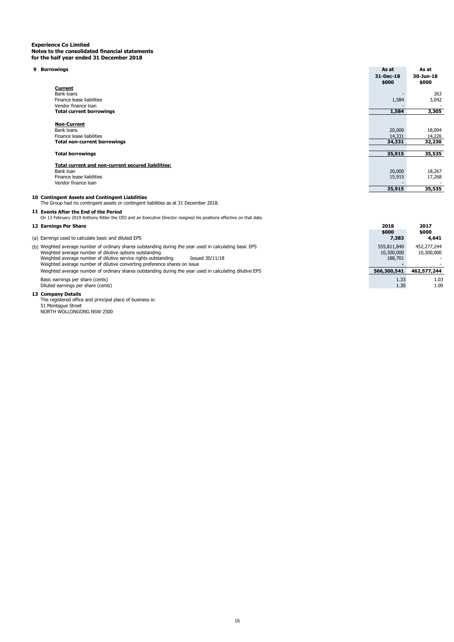| 9 Borrowings                                                                                                                                                                                                                                                                                                                          | As at<br>31-Dec-18<br>\$000          | As at<br>30-Jun-18<br>\$000 |
|---------------------------------------------------------------------------------------------------------------------------------------------------------------------------------------------------------------------------------------------------------------------------------------------------------------------------------------|--------------------------------------|-----------------------------|
| <b>Current</b><br>Bank loans<br>Finance lease liabilities<br>Vendor finance loan                                                                                                                                                                                                                                                      | 1,584                                | 263<br>3,042                |
| <b>Total current borrowings</b>                                                                                                                                                                                                                                                                                                       | 1,584                                | 3,305                       |
| <b>Non-Current</b><br>Bank loans<br>Finance lease liabilities                                                                                                                                                                                                                                                                         | 20,000<br>14,331                     | 18,004<br>14,226            |
| <b>Total non-current borrowings</b>                                                                                                                                                                                                                                                                                                   | 34,331                               | 32,230                      |
| <b>Total borrowings</b>                                                                                                                                                                                                                                                                                                               | 35,915                               | 35,535                      |
| Total current and non-current secured liabilities:<br>Bank loan<br>Finance lease liabilities<br>Vendor finance loan                                                                                                                                                                                                                   | 20,000<br>15,915<br>35,915           | 18,267<br>17,268<br>35,535  |
| 10 Contingent Assets and Contingent Liabilities<br>The Group had no contingent assets or contingent liabilities as at 31 December 2018.                                                                                                                                                                                               |                                      |                             |
| 11 Events After the End of the Period<br>On 13 February 2019 Anthony Ritter the CEO and an Executive Director resigned his positions effective on that date.                                                                                                                                                                          |                                      |                             |
| 12 Earnings Per Share                                                                                                                                                                                                                                                                                                                 | 2018<br>\$000                        | 2017<br>\$000               |
| (a) Earnings used to calculate basic and diluted EPS                                                                                                                                                                                                                                                                                  | 7,383                                | 4,641                       |
| (b) Weighted average number of ordinary shares outstanding during the year used in calculating basic EPS<br>Weighted average number of dilutive options outstanding<br>Weighted average number of dilutive service rights outstanding<br>Issued 30/11/18<br>Weighted average number of dilutive converting preference shares on issue | 555,811,840<br>10,300,000<br>188,701 | 452,277,244<br>10,300,000   |
| Weighted average number of ordinary shares outstanding during the year used in calculating dilutive EPS                                                                                                                                                                                                                               | 566,300,541                          | 462,577,244                 |
| Basic earnings per share (cents)<br>Diluted earnings per share (cents)                                                                                                                                                                                                                                                                | 1.33<br>1.30                         | 1.03<br>1.00                |

**13 Company Details**<br>
The registered office and principal place of business is:<br>
51 Montague Street<br>
NORTH WOLLONGONG NSW 2500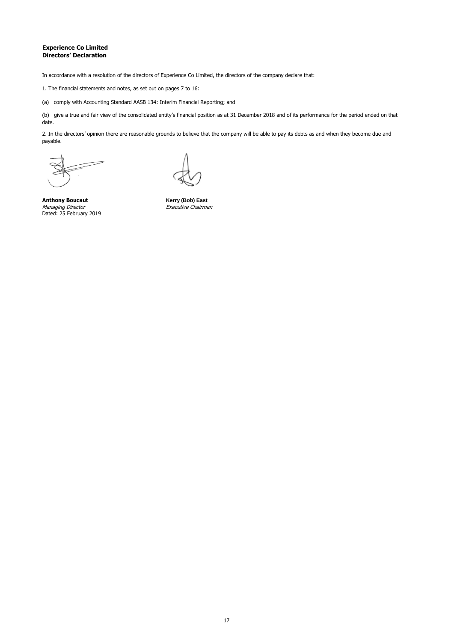## **Experience Co Limited Directors' Declaration**

In accordance with a resolution of the directors of Experience Co Limited, the directors of the company declare that:

1. The financial statements and notes, as set out on pages 7 to 16:

(a) comply with Accounting Standard AASB 134: Interim Financial Reporting; and

(b) give a true and fair view of the consolidated entity's financial position as at 31 December 2018 and of its performance for the period ended on that date.

2. In the directors' opinion there are reasonable grounds to believe that the company will be able to pay its debts as and when they become due and payable.

**Anthony Boucaut Kerry (Bob) East** *Managing Director*<br>Dated: 25 February 2019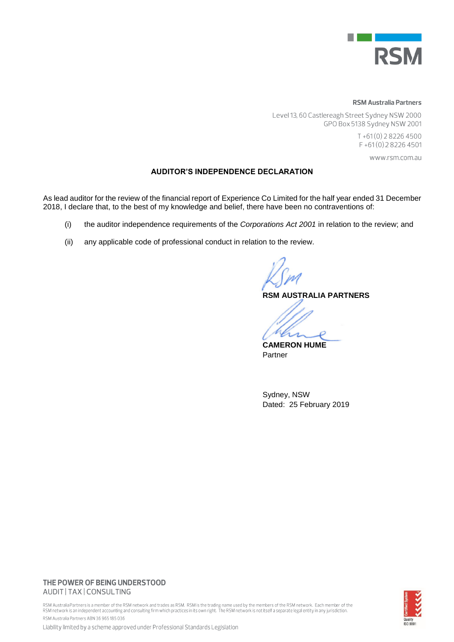

# **RSM Australia Partners**

Level 13, 60 Castlereagh Street Sydney NSW 2000 GPO Box 5138 Sydney NSW 2001

> T+61(0) 282264500 F+61(0)282264501

> > www.rsm.com.au

# **AUDITOR'S INDEPENDENCE DECLARATION**

As lead auditor for the review of the financial report of Experience Co Limited for the half year ended 31 December 2018, I declare that, to the best of my knowledge and belief, there have been no contraventions of:

- (i) the auditor independence requirements of the *Corporations Act 2001* in relation to the review; and
- (ii) any applicable code of professional conduct in relation to the review.

**RSM AUSTRALIA PARTNERS**

**CAMERON HUME** Partner

Sydney, NSW Dated: 25 February 2019

# THE POWER OF BEING UNDERSTOOD AUDIT | TAX | CONSULTING

RSM Australia Partnersis a member of the RSM network and trades as RSM. RSM is the trading name used by the members of the RSM network. Each member of the<br>RSM network is an independent accounting and consulting firm which RSM Australia Partners ABN 36 965 185 036



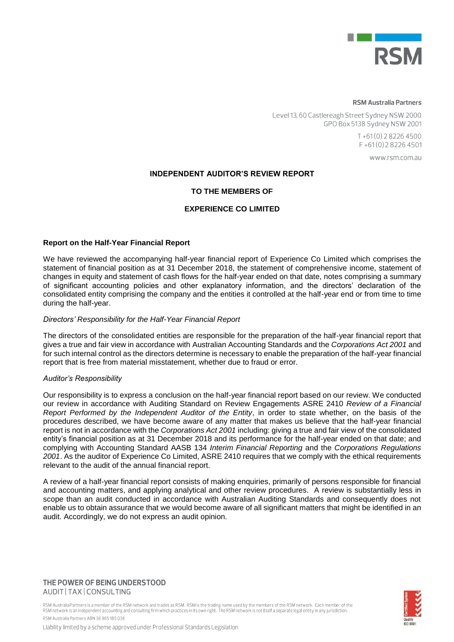

## **RSM Australia Partners**

Level 13, 60 Castlereagh Street Sydney NSW 2000 GPO Box 5138 Sydney NSW 2001

> $T + 61(0)$  282264500  $F + 61(0)$  2 8 2 2 6 4 5 0 1

> > www.rsm.com.au

# **INDEPENDENT AUDITOR'S REVIEW REPORT**

# **TO THE MEMBERS OF**

# **EXPERIENCE CO LIMITED**

# **Report on the Half-Year Financial Report**

We have reviewed the accompanying half-year financial report of Experience Co Limited which comprises the statement of financial position as at 31 December 2018, the statement of comprehensive income, statement of changes in equity and statement of cash flows for the half-year ended on that date, notes comprising a summary of significant accounting policies and other explanatory information, and the directors' declaration of the consolidated entity comprising the company and the entities it controlled at the half-year end or from time to time during the half-year.

# *Directors' Responsibility for the Half-Year Financial Report*

The directors of the consolidated entities are responsible for the preparation of the half-year financial report that gives a true and fair view in accordance with Australian Accounting Standards and the *Corporations Act 2001* and for such internal control as the directors determine is necessary to enable the preparation of the half-year financial report that is free from material misstatement, whether due to fraud or error.

# *Auditor's Responsibility*

Our responsibility is to express a conclusion on the half-year financial report based on our review. We conducted our review in accordance with Auditing Standard on Review Engagements ASRE 2410 *Review of a Financial Report Performed by the Independent Auditor of the Entity*, in order to state whether, on the basis of the procedures described, we have become aware of any matter that makes us believe that the half-year financial report is not in accordance with the *Corporations Act 2001* including: giving a true and fair view of the consolidated entity's financial position as at 31 December 2018 and its performance for the half-year ended on that date; and complying with Accounting Standard AASB 134 *Interim Financial Reporting* and the *Corporations Regulations 2001*. As the auditor of Experience Co Limited, ASRE 2410 requires that we comply with the ethical requirements relevant to the audit of the annual financial report.

A review of a half-year financial report consists of making enquiries, primarily of persons responsible for financial and accounting matters, and applying analytical and other review procedures. A review is substantially less in scope than an audit conducted in accordance with Australian Auditing Standards and consequently does not enable us to obtain assurance that we would become aware of all significant matters that might be identified in an audit. Accordingly, we do not express an audit opinion.

# THE POWER OF BEING UNDERSTOOD AUDIT | TAX | CONSULTING

RSM Australia Partners ABN 36 965 185 036

RSM Australia Partnersis a member of the RSM network and trades as RSM. RSM is the trading name used by the members of the RSM network. Each member of the<br>RSM network is an independent accounting and consulting firm which